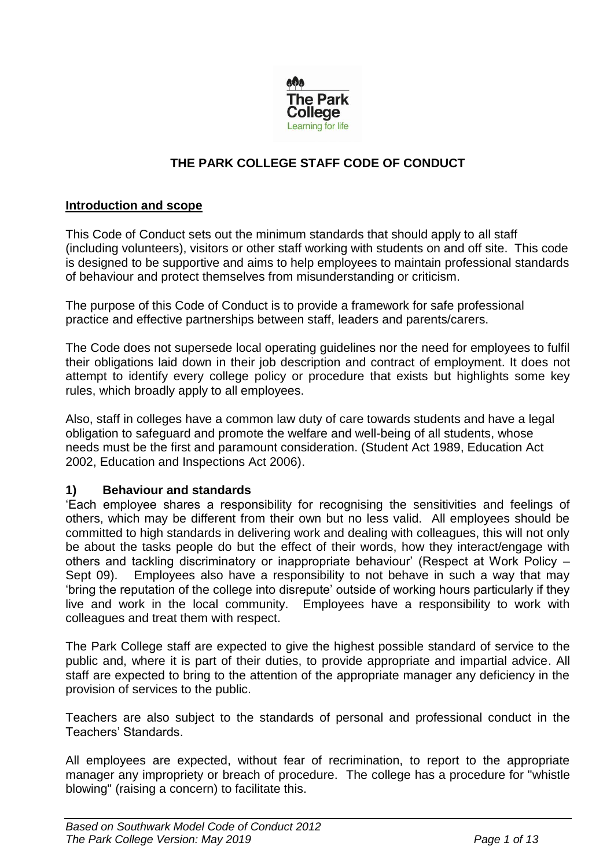

# **THE PARK COLLEGE STAFF CODE OF CONDUCT**

#### **Introduction and scope**

This Code of Conduct sets out the minimum standards that should apply to all staff (including volunteers), visitors or other staff working with students on and off site. This code is designed to be supportive and aims to help employees to maintain professional standards of behaviour and protect themselves from misunderstanding or criticism.

The purpose of this Code of Conduct is to provide a framework for safe professional practice and effective partnerships between staff, leaders and parents/carers.

The Code does not supersede local operating guidelines nor the need for employees to fulfil their obligations laid down in their job description and contract of employment. It does not attempt to identify every college policy or procedure that exists but highlights some key rules, which broadly apply to all employees.

Also, staff in colleges have a common law duty of care towards students and have a legal obligation to safeguard and promote the welfare and well-being of all students, whose needs must be the first and paramount consideration. (Student Act 1989, Education Act 2002, Education and Inspections Act 2006).

#### **1) Behaviour and standards**

'Each employee shares a responsibility for recognising the sensitivities and feelings of others, which may be different from their own but no less valid. All employees should be committed to high standards in delivering work and dealing with colleagues, this will not only be about the tasks people do but the effect of their words, how they interact/engage with others and tackling discriminatory or inappropriate behaviour' (Respect at Work Policy – Sept 09). Employees also have a responsibility to not behave in such a way that may 'bring the reputation of the college into disrepute' outside of working hours particularly if they live and work in the local community. Employees have a responsibility to work with colleagues and treat them with respect.

The Park College staff are expected to give the highest possible standard of service to the public and, where it is part of their duties, to provide appropriate and impartial advice. All staff are expected to bring to the attention of the appropriate manager any deficiency in the provision of services to the public.

Teachers are also subject to the standards of personal and professional conduct in the Teachers' Standards.

All employees are expected, without fear of recrimination, to report to the appropriate manager any impropriety or breach of procedure. The college has a procedure for "whistle blowing" (raising a concern) to facilitate this.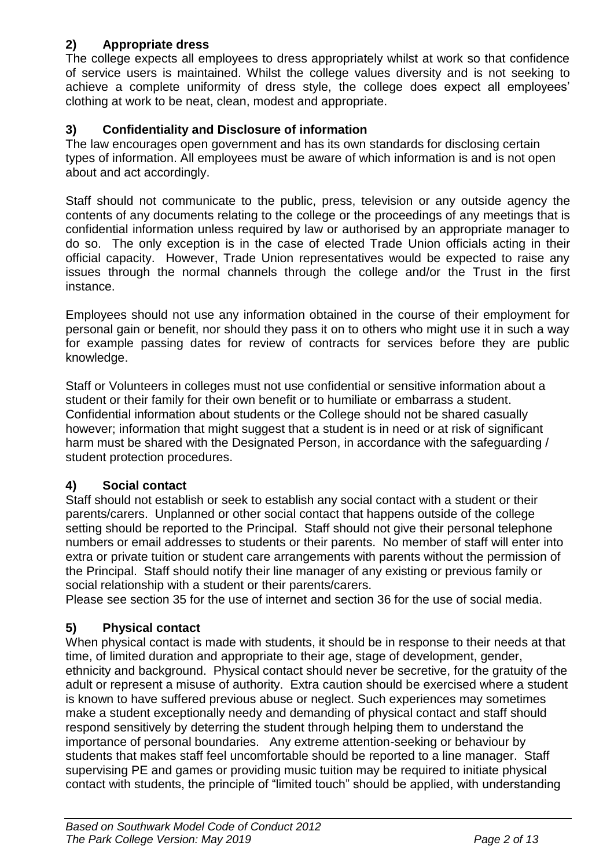# **2) Appropriate dress**

The college expects all employees to dress appropriately whilst at work so that confidence of service users is maintained. Whilst the college values diversity and is not seeking to achieve a complete uniformity of dress style, the college does expect all employees' clothing at work to be neat, clean, modest and appropriate.

# **3) Confidentiality and Disclosure of information**

The law encourages open government and has its own standards for disclosing certain types of information. All employees must be aware of which information is and is not open about and act accordingly.

Staff should not communicate to the public, press, television or any outside agency the contents of any documents relating to the college or the proceedings of any meetings that is confidential information unless required by law or authorised by an appropriate manager to do so. The only exception is in the case of elected Trade Union officials acting in their official capacity. However, Trade Union representatives would be expected to raise any issues through the normal channels through the college and/or the Trust in the first instance.

Employees should not use any information obtained in the course of their employment for personal gain or benefit, nor should they pass it on to others who might use it in such a way for example passing dates for review of contracts for services before they are public knowledge.

Staff or Volunteers in colleges must not use confidential or sensitive information about a student or their family for their own benefit or to humiliate or embarrass a student. Confidential information about students or the College should not be shared casually however; information that might suggest that a student is in need or at risk of significant harm must be shared with the Designated Person, in accordance with the safeguarding / student protection procedures.

# **4) Social contact**

Staff should not establish or seek to establish any social contact with a student or their parents/carers. Unplanned or other social contact that happens outside of the college setting should be reported to the Principal. Staff should not give their personal telephone numbers or email addresses to students or their parents. No member of staff will enter into extra or private tuition or student care arrangements with parents without the permission of the Principal. Staff should notify their line manager of any existing or previous family or social relationship with a student or their parents/carers.

Please see section 35 for the use of internet and section 36 for the use of social media.

# **5) Physical contact**

When physical contact is made with students, it should be in response to their needs at that time, of limited duration and appropriate to their age, stage of development, gender, ethnicity and background. Physical contact should never be secretive, for the gratuity of the adult or represent a misuse of authority. Extra caution should be exercised where a student is known to have suffered previous abuse or neglect. Such experiences may sometimes make a student exceptionally needy and demanding of physical contact and staff should respond sensitively by deterring the student through helping them to understand the importance of personal boundaries. Any extreme attention-seeking or behaviour by students that makes staff feel uncomfortable should be reported to a line manager. Staff supervising PE and games or providing music tuition may be required to initiate physical contact with students, the principle of "limited touch" should be applied, with understanding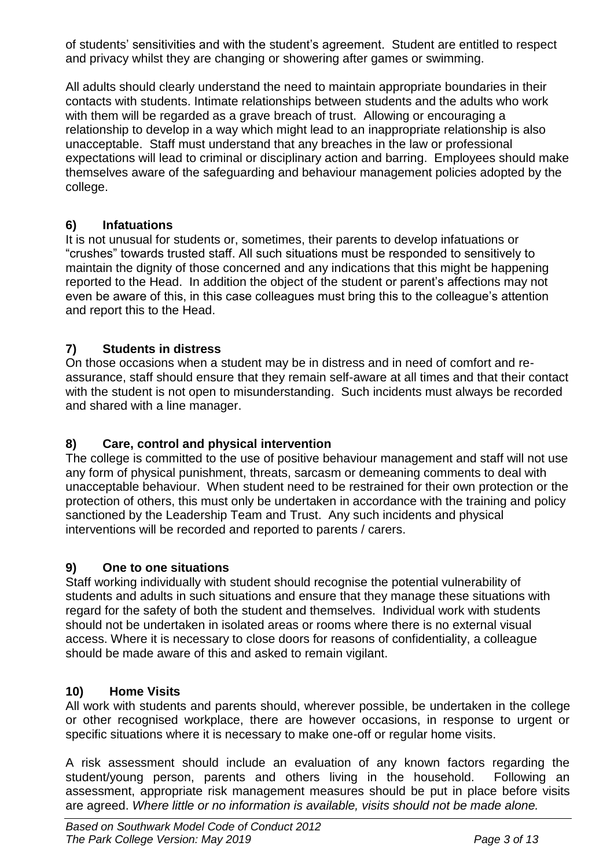of students' sensitivities and with the student's agreement. Student are entitled to respect and privacy whilst they are changing or showering after games or swimming.

All adults should clearly understand the need to maintain appropriate boundaries in their contacts with students. Intimate relationships between students and the adults who work with them will be regarded as a grave breach of trust. Allowing or encouraging a relationship to develop in a way which might lead to an inappropriate relationship is also unacceptable. Staff must understand that any breaches in the law or professional expectations will lead to criminal or disciplinary action and barring. Employees should make themselves aware of the safeguarding and behaviour management policies adopted by the college.

# **6) Infatuations**

It is not unusual for students or, sometimes, their parents to develop infatuations or "crushes" towards trusted staff. All such situations must be responded to sensitively to maintain the dignity of those concerned and any indications that this might be happening reported to the Head. In addition the object of the student or parent's affections may not even be aware of this, in this case colleagues must bring this to the colleague's attention and report this to the Head.

# **7) Students in distress**

On those occasions when a student may be in distress and in need of comfort and reassurance, staff should ensure that they remain self-aware at all times and that their contact with the student is not open to misunderstanding. Such incidents must always be recorded and shared with a line manager.

# **8) Care, control and physical intervention**

The college is committed to the use of positive behaviour management and staff will not use any form of physical punishment, threats, sarcasm or demeaning comments to deal with unacceptable behaviour. When student need to be restrained for their own protection or the protection of others, this must only be undertaken in accordance with the training and policy sanctioned by the Leadership Team and Trust. Any such incidents and physical interventions will be recorded and reported to parents / carers.

# **9) One to one situations**

Staff working individually with student should recognise the potential vulnerability of students and adults in such situations and ensure that they manage these situations with regard for the safety of both the student and themselves. Individual work with students should not be undertaken in isolated areas or rooms where there is no external visual access. Where it is necessary to close doors for reasons of confidentiality, a colleague should be made aware of this and asked to remain vigilant.

# **10) Home Visits**

All work with students and parents should, wherever possible, be undertaken in the college or other recognised workplace, there are however occasions, in response to urgent or specific situations where it is necessary to make one-off or regular home visits.

A risk assessment should include an evaluation of any known factors regarding the student/young person, parents and others living in the household. Following an assessment, appropriate risk management measures should be put in place before visits are agreed. *Where little or no information is available, visits should not be made alone.*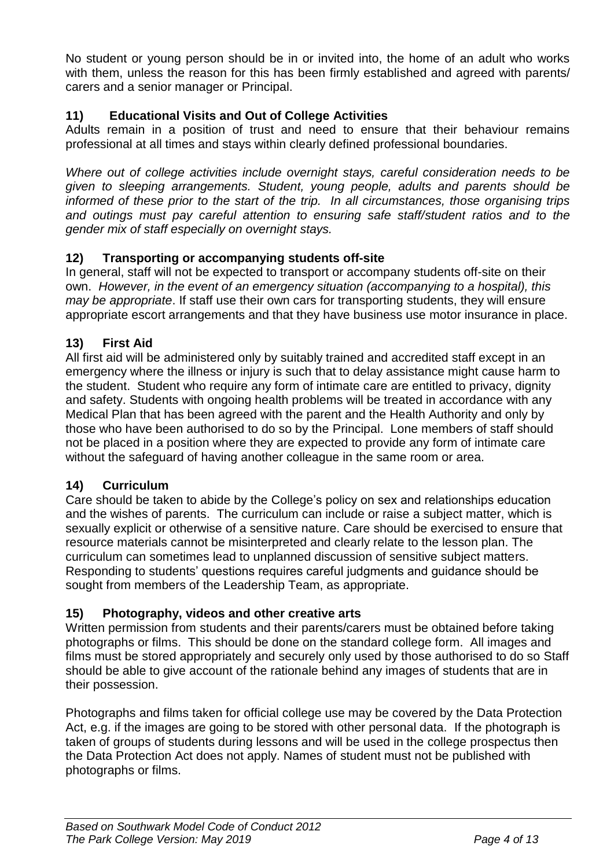No student or young person should be in or invited into, the home of an adult who works with them, unless the reason for this has been firmly established and agreed with parents/ carers and a senior manager or Principal.

# **11) Educational Visits and Out of College Activities**

Adults remain in a position of trust and need to ensure that their behaviour remains professional at all times and stays within clearly defined professional boundaries.

*Where out of college activities include overnight stays, careful consideration needs to be given to sleeping arrangements. Student, young people, adults and parents should be informed of these prior to the start of the trip. In all circumstances, those organising trips and outings must pay careful attention to ensuring safe staff/student ratios and to the gender mix of staff especially on overnight stays.* 

## **12) Transporting or accompanying students off-site**

In general, staff will not be expected to transport or accompany students off-site on their own. *However, in the event of an emergency situation (accompanying to a hospital), this may be appropriate*. If staff use their own cars for transporting students, they will ensure appropriate escort arrangements and that they have business use motor insurance in place.

## **13) First Aid**

All first aid will be administered only by suitably trained and accredited staff except in an emergency where the illness or injury is such that to delay assistance might cause harm to the student. Student who require any form of intimate care are entitled to privacy, dignity and safety. Students with ongoing health problems will be treated in accordance with any Medical Plan that has been agreed with the parent and the Health Authority and only by those who have been authorised to do so by the Principal. Lone members of staff should not be placed in a position where they are expected to provide any form of intimate care without the safeguard of having another colleague in the same room or area.

## **14) Curriculum**

Care should be taken to abide by the College's policy on sex and relationships education and the wishes of parents. The curriculum can include or raise a subject matter, which is sexually explicit or otherwise of a sensitive nature. Care should be exercised to ensure that resource materials cannot be misinterpreted and clearly relate to the lesson plan. The curriculum can sometimes lead to unplanned discussion of sensitive subject matters. Responding to students' questions requires careful judgments and guidance should be sought from members of the Leadership Team, as appropriate.

## **15) Photography, videos and other creative arts**

Written permission from students and their parents/carers must be obtained before taking photographs or films. This should be done on the standard college form. All images and films must be stored appropriately and securely only used by those authorised to do so Staff should be able to give account of the rationale behind any images of students that are in their possession.

Photographs and films taken for official college use may be covered by the Data Protection Act, e.g. if the images are going to be stored with other personal data. If the photograph is taken of groups of students during lessons and will be used in the college prospectus then the Data Protection Act does not apply. Names of student must not be published with photographs or films.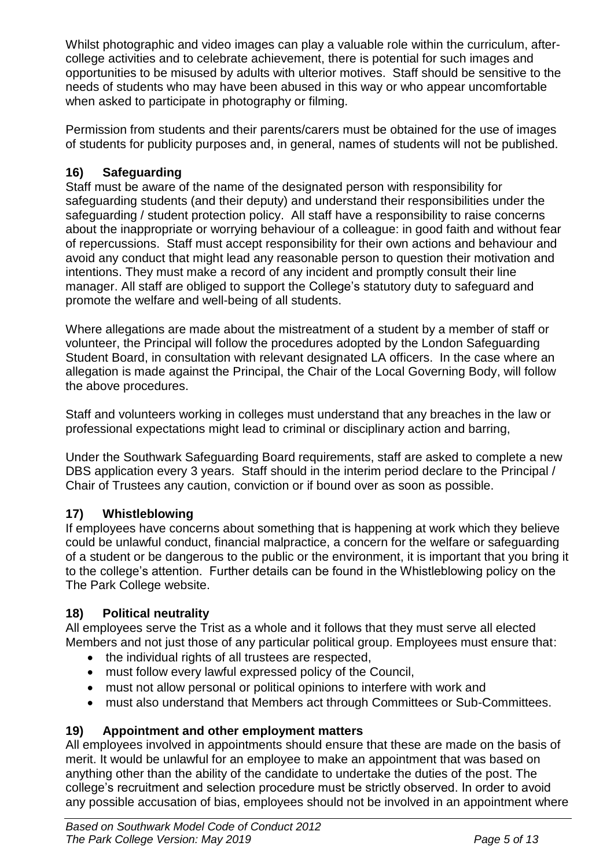Whilst photographic and video images can play a valuable role within the curriculum, aftercollege activities and to celebrate achievement, there is potential for such images and opportunities to be misused by adults with ulterior motives. Staff should be sensitive to the needs of students who may have been abused in this way or who appear uncomfortable when asked to participate in photography or filming.

Permission from students and their parents/carers must be obtained for the use of images of students for publicity purposes and, in general, names of students will not be published.

# **16) Safeguarding**

Staff must be aware of the name of the designated person with responsibility for safeguarding students (and their deputy) and understand their responsibilities under the safeguarding / student protection policy. All staff have a responsibility to raise concerns about the inappropriate or worrying behaviour of a colleague: in good faith and without fear of repercussions. Staff must accept responsibility for their own actions and behaviour and avoid any conduct that might lead any reasonable person to question their motivation and intentions. They must make a record of any incident and promptly consult their line manager. All staff are obliged to support the College's statutory duty to safeguard and promote the welfare and well-being of all students.

Where allegations are made about the mistreatment of a student by a member of staff or volunteer, the Principal will follow the procedures adopted by the London Safeguarding Student Board, in consultation with relevant designated LA officers. In the case where an allegation is made against the Principal, the Chair of the Local Governing Body, will follow the above procedures.

Staff and volunteers working in colleges must understand that any breaches in the law or professional expectations might lead to criminal or disciplinary action and barring,

Under the Southwark Safeguarding Board requirements, staff are asked to complete a new DBS application every 3 years. Staff should in the interim period declare to the Principal / Chair of Trustees any caution, conviction or if bound over as soon as possible.

# **17) Whistleblowing**

If employees have concerns about something that is happening at work which they believe could be unlawful conduct, financial malpractice, a concern for the welfare or safeguarding of a student or be dangerous to the public or the environment, it is important that you bring it to the college's attention. Further details can be found in the Whistleblowing policy on the The Park College website.

# **18) Political neutrality**

All employees serve the Trist as a whole and it follows that they must serve all elected Members and not just those of any particular political group. Employees must ensure that:

- the individual rights of all trustees are respected,
- must follow every lawful expressed policy of the Council,
- must not allow personal or political opinions to interfere with work and
- must also understand that Members act through Committees or Sub-Committees.

# **19) Appointment and other employment matters**

All employees involved in appointments should ensure that these are made on the basis of merit. It would be unlawful for an employee to make an appointment that was based on anything other than the ability of the candidate to undertake the duties of the post. The college's recruitment and selection procedure must be strictly observed. In order to avoid any possible accusation of bias, employees should not be involved in an appointment where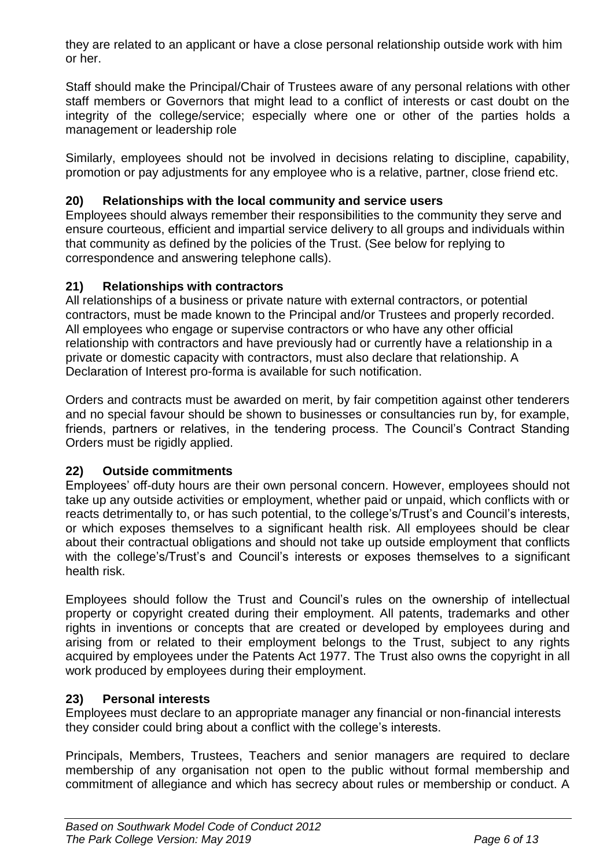they are related to an applicant or have a close personal relationship outside work with him or her.

Staff should make the Principal/Chair of Trustees aware of any personal relations with other staff members or Governors that might lead to a conflict of interests or cast doubt on the integrity of the college/service; especially where one or other of the parties holds a management or leadership role

Similarly, employees should not be involved in decisions relating to discipline, capability, promotion or pay adjustments for any employee who is a relative, partner, close friend etc.

## **20) Relationships with the local community and service users**

Employees should always remember their responsibilities to the community they serve and ensure courteous, efficient and impartial service delivery to all groups and individuals within that community as defined by the policies of the Trust. (See below for replying to correspondence and answering telephone calls).

## **21) Relationships with contractors**

All relationships of a business or private nature with external contractors, or potential contractors, must be made known to the Principal and/or Trustees and properly recorded. All employees who engage or supervise contractors or who have any other official relationship with contractors and have previously had or currently have a relationship in a private or domestic capacity with contractors, must also declare that relationship. A Declaration of Interest pro-forma is available for such notification.

Orders and contracts must be awarded on merit, by fair competition against other tenderers and no special favour should be shown to businesses or consultancies run by, for example, friends, partners or relatives, in the tendering process. The Council's Contract Standing Orders must be rigidly applied.

## **22) Outside commitments**

Employees' off-duty hours are their own personal concern. However, employees should not take up any outside activities or employment, whether paid or unpaid, which conflicts with or reacts detrimentally to, or has such potential, to the college's/Trust's and Council's interests, or which exposes themselves to a significant health risk. All employees should be clear about their contractual obligations and should not take up outside employment that conflicts with the college's/Trust's and Council's interests or exposes themselves to a significant health risk.

Employees should follow the Trust and Council's rules on the ownership of intellectual property or copyright created during their employment. All patents, trademarks and other rights in inventions or concepts that are created or developed by employees during and arising from or related to their employment belongs to the Trust, subject to any rights acquired by employees under the Patents Act 1977. The Trust also owns the copyright in all work produced by employees during their employment.

# **23) Personal interests**

Employees must declare to an appropriate manager any financial or non-financial interests they consider could bring about a conflict with the college's interests.

Principals, Members, Trustees, Teachers and senior managers are required to declare membership of any organisation not open to the public without formal membership and commitment of allegiance and which has secrecy about rules or membership or conduct. A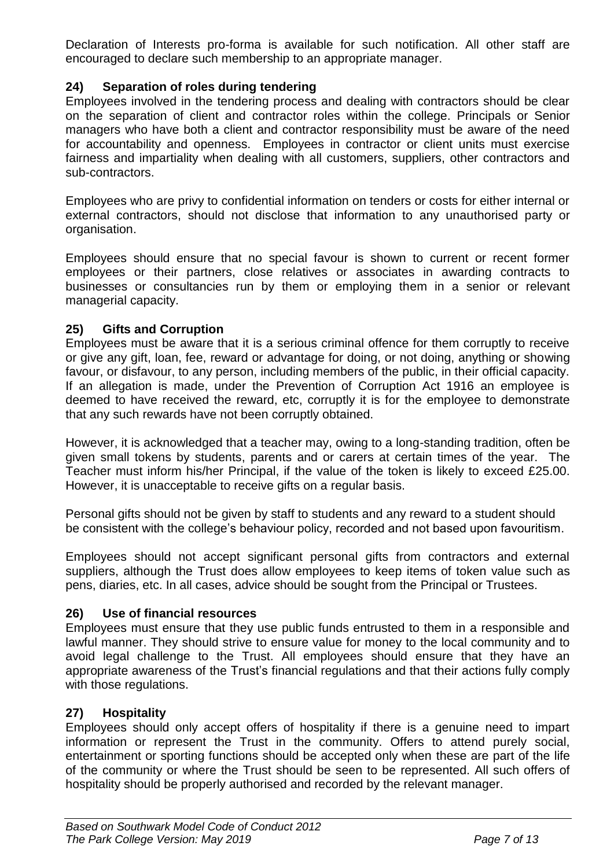Declaration of Interests pro-forma is available for such notification. All other staff are encouraged to declare such membership to an appropriate manager.

## **24) Separation of roles during tendering**

Employees involved in the tendering process and dealing with contractors should be clear on the separation of client and contractor roles within the college. Principals or Senior managers who have both a client and contractor responsibility must be aware of the need for accountability and openness. Employees in contractor or client units must exercise fairness and impartiality when dealing with all customers, suppliers, other contractors and sub-contractors.

Employees who are privy to confidential information on tenders or costs for either internal or external contractors, should not disclose that information to any unauthorised party or organisation.

Employees should ensure that no special favour is shown to current or recent former employees or their partners, close relatives or associates in awarding contracts to businesses or consultancies run by them or employing them in a senior or relevant managerial capacity.

## **25) Gifts and Corruption**

Employees must be aware that it is a serious criminal offence for them corruptly to receive or give any gift, loan, fee, reward or advantage for doing, or not doing, anything or showing favour, or disfavour, to any person, including members of the public, in their official capacity. If an allegation is made, under the Prevention of Corruption Act 1916 an employee is deemed to have received the reward, etc, corruptly it is for the employee to demonstrate that any such rewards have not been corruptly obtained.

However, it is acknowledged that a teacher may, owing to a long-standing tradition, often be given small tokens by students, parents and or carers at certain times of the year. The Teacher must inform his/her Principal, if the value of the token is likely to exceed £25.00. However, it is unacceptable to receive gifts on a regular basis.

Personal gifts should not be given by staff to students and any reward to a student should be consistent with the college's behaviour policy, recorded and not based upon favouritism.

Employees should not accept significant personal gifts from contractors and external suppliers, although the Trust does allow employees to keep items of token value such as pens, diaries, etc. In all cases, advice should be sought from the Principal or Trustees.

## **26) Use of financial resources**

Employees must ensure that they use public funds entrusted to them in a responsible and lawful manner. They should strive to ensure value for money to the local community and to avoid legal challenge to the Trust. All employees should ensure that they have an appropriate awareness of the Trust's financial regulations and that their actions fully comply with those regulations.

## **27) Hospitality**

Employees should only accept offers of hospitality if there is a genuine need to impart information or represent the Trust in the community. Offers to attend purely social, entertainment or sporting functions should be accepted only when these are part of the life of the community or where the Trust should be seen to be represented. All such offers of hospitality should be properly authorised and recorded by the relevant manager.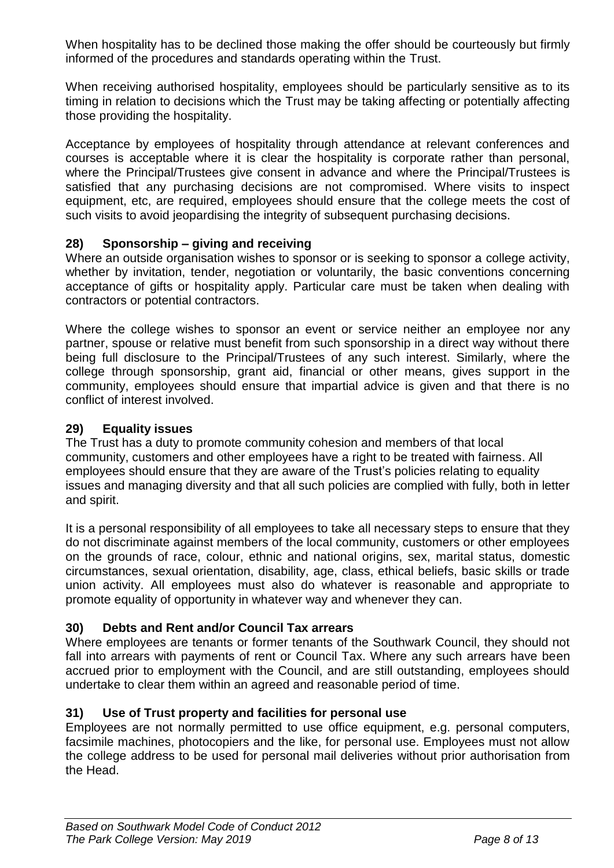When hospitality has to be declined those making the offer should be courteously but firmly informed of the procedures and standards operating within the Trust.

When receiving authorised hospitality, employees should be particularly sensitive as to its timing in relation to decisions which the Trust may be taking affecting or potentially affecting those providing the hospitality.

Acceptance by employees of hospitality through attendance at relevant conferences and courses is acceptable where it is clear the hospitality is corporate rather than personal, where the Principal/Trustees give consent in advance and where the Principal/Trustees is satisfied that any purchasing decisions are not compromised. Where visits to inspect equipment, etc, are required, employees should ensure that the college meets the cost of such visits to avoid jeopardising the integrity of subsequent purchasing decisions.

## **28) Sponsorship – giving and receiving**

Where an outside organisation wishes to sponsor or is seeking to sponsor a college activity, whether by invitation, tender, negotiation or voluntarily, the basic conventions concerning acceptance of gifts or hospitality apply. Particular care must be taken when dealing with contractors or potential contractors.

Where the college wishes to sponsor an event or service neither an employee nor any partner, spouse or relative must benefit from such sponsorship in a direct way without there being full disclosure to the Principal/Trustees of any such interest. Similarly, where the college through sponsorship, grant aid, financial or other means, gives support in the community, employees should ensure that impartial advice is given and that there is no conflict of interest involved.

## **29) Equality issues**

The Trust has a duty to promote community cohesion and members of that local community, customers and other employees have a right to be treated with fairness. All employees should ensure that they are aware of the Trust's policies relating to equality issues and managing diversity and that all such policies are complied with fully, both in letter and spirit.

It is a personal responsibility of all employees to take all necessary steps to ensure that they do not discriminate against members of the local community, customers or other employees on the grounds of race, colour, ethnic and national origins, sex, marital status, domestic circumstances, sexual orientation, disability, age, class, ethical beliefs, basic skills or trade union activity. All employees must also do whatever is reasonable and appropriate to promote equality of opportunity in whatever way and whenever they can.

# **30) Debts and Rent and/or Council Tax arrears**

Where employees are tenants or former tenants of the Southwark Council, they should not fall into arrears with payments of rent or Council Tax. Where any such arrears have been accrued prior to employment with the Council, and are still outstanding, employees should undertake to clear them within an agreed and reasonable period of time.

## **31) Use of Trust property and facilities for personal use**

Employees are not normally permitted to use office equipment, e.g. personal computers, facsimile machines, photocopiers and the like, for personal use. Employees must not allow the college address to be used for personal mail deliveries without prior authorisation from the Head.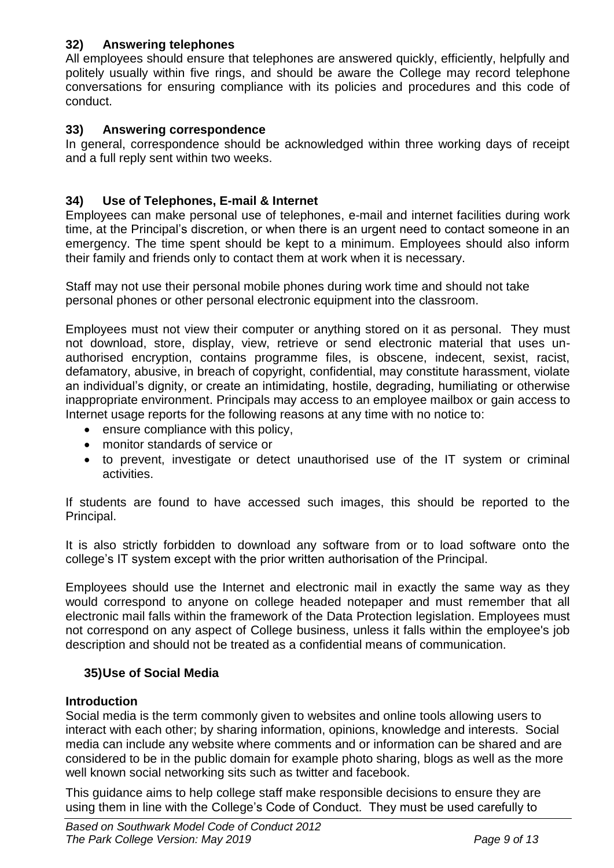# **32) Answering telephones**

All employees should ensure that telephones are answered quickly, efficiently, helpfully and politely usually within five rings, and should be aware the College may record telephone conversations for ensuring compliance with its policies and procedures and this code of conduct.

## **33) Answering correspondence**

In general, correspondence should be acknowledged within three working days of receipt and a full reply sent within two weeks.

## **34) Use of Telephones, E-mail & Internet**

Employees can make personal use of telephones, e-mail and internet facilities during work time, at the Principal's discretion, or when there is an urgent need to contact someone in an emergency. The time spent should be kept to a minimum. Employees should also inform their family and friends only to contact them at work when it is necessary.

Staff may not use their personal mobile phones during work time and should not take personal phones or other personal electronic equipment into the classroom.

Employees must not view their computer or anything stored on it as personal. They must not download, store, display, view, retrieve or send electronic material that uses unauthorised encryption, contains programme files, is obscene, indecent, sexist, racist, defamatory, abusive, in breach of copyright, confidential, may constitute harassment, violate an individual's dignity, or create an intimidating, hostile, degrading, humiliating or otherwise inappropriate environment. Principals may access to an employee mailbox or gain access to Internet usage reports for the following reasons at any time with no notice to:

- ensure compliance with this policy,
- monitor standards of service or
- to prevent, investigate or detect unauthorised use of the IT system or criminal activities.

If students are found to have accessed such images, this should be reported to the Principal.

It is also strictly forbidden to download any software from or to load software onto the college's IT system except with the prior written authorisation of the Principal.

Employees should use the Internet and electronic mail in exactly the same way as they would correspond to anyone on college headed notepaper and must remember that all electronic mail falls within the framework of the Data Protection legislation. Employees must not correspond on any aspect of College business, unless it falls within the employee's job description and should not be treated as a confidential means of communication.

## **35)Use of Social Media**

## **Introduction**

Social media is the term commonly given to websites and online tools allowing users to interact with each other; by sharing information, opinions, knowledge and interests. Social media can include any website where comments and or information can be shared and are considered to be in the public domain for example photo sharing, blogs as well as the more well known social networking sits such as twitter and facebook.

This guidance aims to help college staff make responsible decisions to ensure they are using them in line with the College's Code of Conduct. They must be used carefully to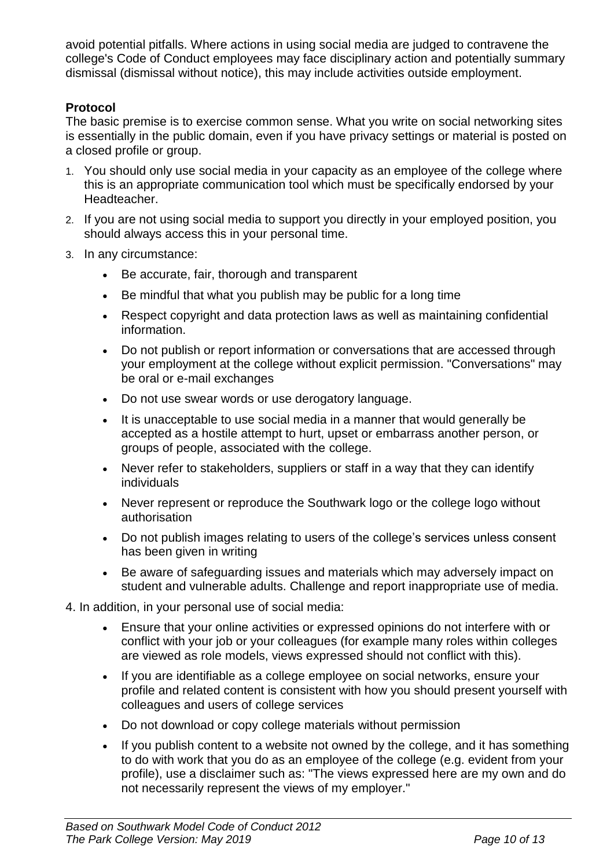avoid potential pitfalls. Where actions in using social media are judged to contravene the [college's Code of Conduct e](http://thesource/SectionLandingPage.asp?id=2040)mployees may face disciplinary action and potentially summary dismissal (dismissal without notice), this may include activities outside employment.

## **Protocol**

The basic premise is to exercise common sense. What you write on social networking sites is essentially in the public domain, even if you have privacy settings or material is posted on a closed profile or group.

- 1. You should only use social media in your capacity as an employee of the college where this is an appropriate communication tool which must be specifically endorsed by your Headteacher.
- 2. If you are not using social media to support you directly in your employed position, you should always access this in your personal time.
- 3. In any circumstance:
	- Be accurate, fair, thorough and transparent
	- Be mindful that what you publish may be public for a long time
	- Respect copyright and data protection laws as well as maintaining confidential information.
	- Do not publish or report information or conversations that are accessed through your employment at the college without explicit permission. "Conversations" may be oral or e-mail exchanges
	- Do not use swear words or use derogatory language.
	- It is unacceptable to use social media in a manner that would generally be accepted as a hostile attempt to hurt, upset or embarrass another person, or groups of people, associated with the college.
	- Never refer to stakeholders, suppliers or staff in a way that they can identify individuals
	- Never represent or reproduce the Southwark logo or the college logo without authorisation
	- Do not publish images relating to users of the college's services unless consent has been given in writing
	- Be aware of safeguarding issues and materials which may adversely impact on student and vulnerable adults. Challenge and report inappropriate use of media.

4. In addition, in your personal use of social media:

- Ensure that your online activities or expressed opinions do not interfere with or conflict with your job or your colleagues (for example many roles within colleges are viewed as role models, views expressed should not conflict with this).
- If you are identifiable as a college employee on social networks, ensure your profile and related content is consistent with how you should present yourself with colleagues and users of college services
- Do not download or copy college materials without permission
- If you publish content to a website not owned by the college, and it has something to do with work that you do as an employee of the college (e.g. evident from your profile), use a disclaimer such as: "The views expressed here are my own and do not necessarily represent the views of my employer."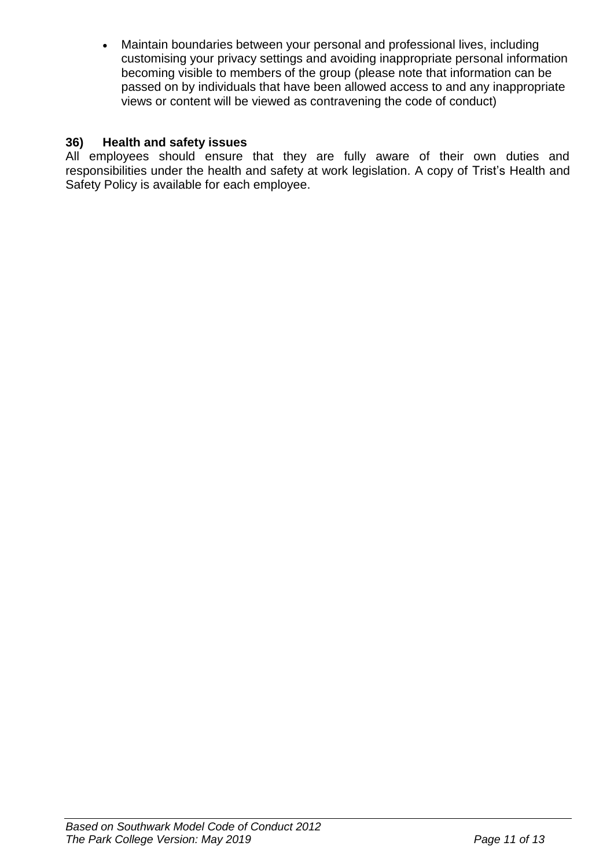Maintain boundaries between your personal and professional lives, including customising your privacy settings and avoiding inappropriate personal information becoming visible to members of the group (please note that information can be passed on by individuals that have been allowed access to and any inappropriate views or content will be viewed as contravening the code of conduct)

#### **36) Health and safety issues**

All employees should ensure that they are fully aware of their own duties and responsibilities under the health and safety at work legislation. A copy of Trist's Health and Safety Policy is available for each employee.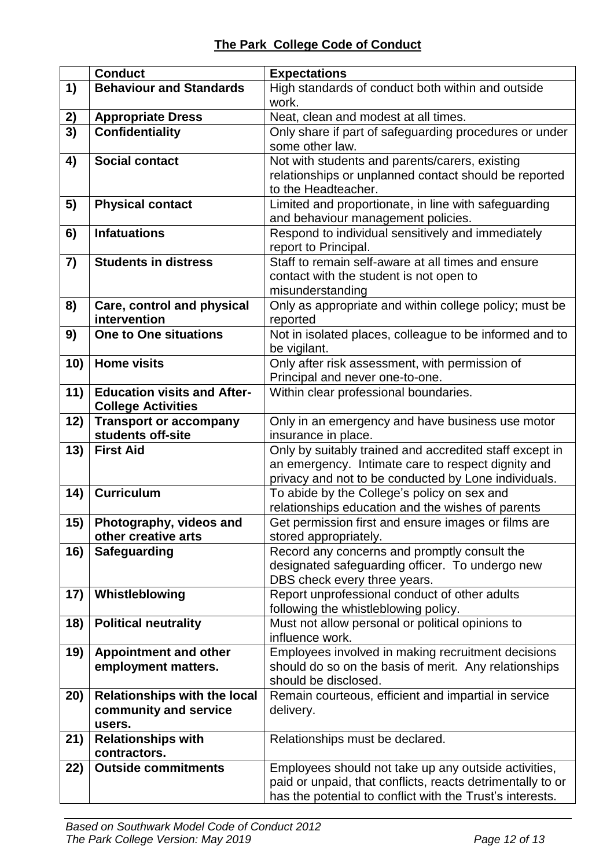|           | <b>Conduct</b>                                                         | <b>Expectations</b>                                                                                                                                                             |
|-----------|------------------------------------------------------------------------|---------------------------------------------------------------------------------------------------------------------------------------------------------------------------------|
| 1)        | <b>Behaviour and Standards</b>                                         | High standards of conduct both within and outside                                                                                                                               |
|           |                                                                        | work.                                                                                                                                                                           |
| <u>2)</u> | <b>Appropriate Dress</b>                                               | Neat, clean and modest at all times.                                                                                                                                            |
| 3)        | <b>Confidentiality</b>                                                 | Only share if part of safeguarding procedures or under<br>some other law.                                                                                                       |
| 4)        | <b>Social contact</b>                                                  | Not with students and parents/carers, existing<br>relationships or unplanned contact should be reported<br>to the Headteacher.                                                  |
| 5)        | <b>Physical contact</b>                                                | Limited and proportionate, in line with safeguarding<br>and behaviour management policies.                                                                                      |
| 6)        | <b>Infatuations</b>                                                    | Respond to individual sensitively and immediately<br>report to Principal.                                                                                                       |
| 7)        | <b>Students in distress</b>                                            | Staff to remain self-aware at all times and ensure<br>contact with the student is not open to<br>misunderstanding                                                               |
| 8)        | Care, control and physical<br>intervention                             | Only as appropriate and within college policy; must be<br>reported                                                                                                              |
| 9)        | <b>One to One situations</b>                                           | Not in isolated places, colleague to be informed and to<br>be vigilant.                                                                                                         |
| 10)       | <b>Home visits</b>                                                     | Only after risk assessment, with permission of<br>Principal and never one-to-one.                                                                                               |
| 11)       | <b>Education visits and After-</b><br><b>College Activities</b>        | Within clear professional boundaries.                                                                                                                                           |
| 12)       | <b>Transport or accompany</b><br>students off-site                     | Only in an emergency and have business use motor<br>insurance in place.                                                                                                         |
| 13)       | <b>First Aid</b>                                                       | Only by suitably trained and accredited staff except in<br>an emergency. Intimate care to respect dignity and<br>privacy and not to be conducted by Lone individuals.           |
| 14)       | <b>Curriculum</b>                                                      | To abide by the College's policy on sex and<br>relationships education and the wishes of parents                                                                                |
| 15)       | Photography, videos and<br>other creative arts                         | Get permission first and ensure images or films are<br>stored appropriately.                                                                                                    |
| 16)       | <b>Safeguarding</b>                                                    | Record any concerns and promptly consult the<br>designated safeguarding officer. To undergo new<br>DBS check every three years.                                                 |
| 17)       | Whistleblowing                                                         | Report unprofessional conduct of other adults<br>following the whistleblowing policy.                                                                                           |
| 18)       | <b>Political neutrality</b>                                            | Must not allow personal or political opinions to<br>influence work.                                                                                                             |
| 19)       | <b>Appointment and other</b><br>employment matters.                    | Employees involved in making recruitment decisions<br>should do so on the basis of merit. Any relationships<br>should be disclosed.                                             |
| 20)       | <b>Relationships with the local</b><br>community and service<br>users. | Remain courteous, efficient and impartial in service<br>delivery.                                                                                                               |
| 21)       | <b>Relationships with</b><br>contractors.                              | Relationships must be declared.                                                                                                                                                 |
| 22)       | <b>Outside commitments</b>                                             | Employees should not take up any outside activities,<br>paid or unpaid, that conflicts, reacts detrimentally to or<br>has the potential to conflict with the Trust's interests. |